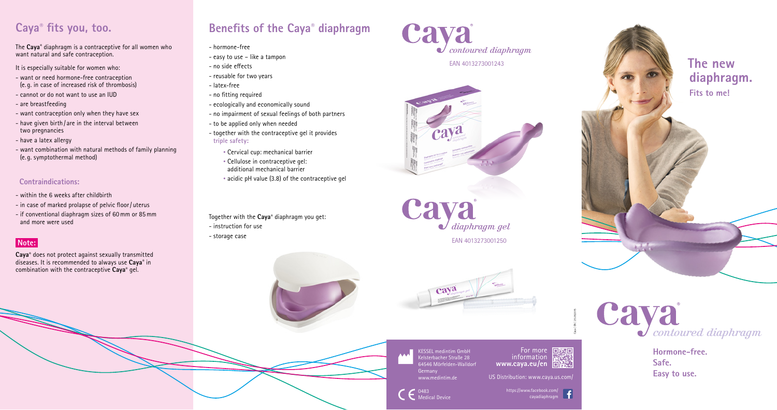# **Caya® fits you, too.**

The **Caya**® diaphragm is a contraceptive for all women who want natural and safe contraception.

It is especially suitable for women who:

- want or need hormone-free contraception (e. g. in case of increased risk of thrombosis)
- cannot or do not want to use an IUD
- are breastfeeding
- want contraception only when they have sex
- have given birth / are in the interval between two pregnancies
- have a latex allergy
- want combination with natural methods of family planning (e. g. symptothermal method)

### **Contraindications:**

- within the 6 weeks after childbirth
- in case of marked prolapse of pelvic floor/ uterus
- if conventional diaphragm sizes of 60mm or 85mm and more were used

## **Note:**

**Caya**® does not protect against sexually transmitted diseases. It is recommended to always use **Caya**® in combination with the contraceptive **Caya**® gel.

## **Benefits of the Caya® diaphragm**

For more **DESSION** 麟 information **www.caya.eu/en**

- hormone-free
- easy to use like a tampon
- no side effects
- reusable for two years
- latex-free
- no fitting required
- ecologically and economically sound
- no impairment of sexual feelings of both partners
- to be applied only when needed
- together with the contraceptive gel it provides **triple safety:**
	- Cervical cup: mechanical barrier
	- Cellulose in contraceptive gel: additional mechanical barrier
	- acidic pH value (3.8) of the contraceptive gel

Together with the **Caya**® diaphragm you get:

- instruction for use
- storage case









KESSEL medintim GmbH Kelsterbacher Straße 28 64546 Mörfelden-Walldorf Germany www.medintim.de



Caya | EN | 25.09.2015

US Distribution: www.caya.us.com

**The new diaphragm. Fits to me!**



**Hormone-free. Safe. Easy to use.**

https://www.facebook.com/ cayadiaphragm